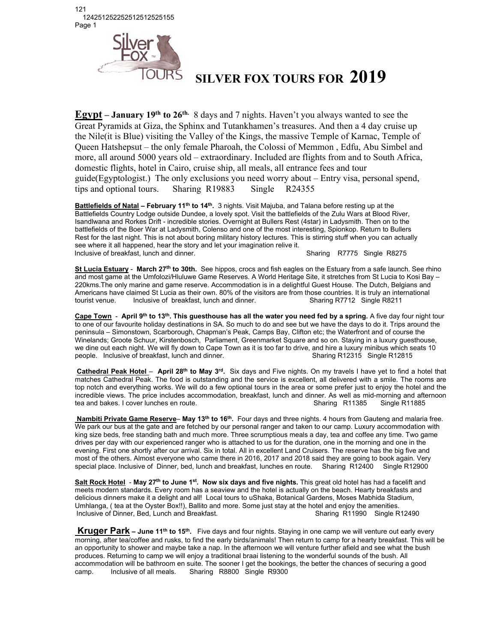121 124251252252512512525155 Page 1



## **SILVER FOX TOURS FOR 2019**

**Egypt – January 19th to 26th.** 8 days and 7 nights. Haven't you always wanted to see the Great Pyramids at Giza, the Sphinx and Tutankhamen's treasures. And then a 4 day cruise up the Nile(it is Blue) visiting the Valley of the Kings, the massive Temple of Karnac, Temple of Queen Hatshepsut – the only female Pharoah, the Colossi of Memmon , Edfu, Abu Simbel and more, all around 5000 years old – extraordinary. Included are flights from and to South Africa, domestic flights, hotel in Cairo, cruise ship, all meals, all entrance fees and tour guide(Egyptologist.) The only exclusions you need worry about – Entry visa, personal spend, tips and optional tours. Sharing R19883 Single R24355

**Battlefields of Natal – February 11<sup>th</sup> to 14<sup>th</sup>. 3 nights. Visit Majuba, and Talana before resting up at the** Battlefields Country Lodge outside Dundee, a lovely spot. Visit the battlefields of the Zulu Wars at Blood River, Isandlwana and Rorkes Drift - incredible stories. Overnight at Bullers Rest (4star) in Ladysmith. Then on to the battlefields of the Boer War at Ladysmith, Colenso and one of the most interesting, Spionkop. Return to Bullers Rest for the last night. This is not about boring military history lectures. This is stirring stuff when you can actually see where it all happened, hear the story and let your imagination relive it. Inclusive of breakfast, lunch and dinner. Sharing R7775 Single R8275

**St Lucia Estuary** - **March 27th to 30th.** See hippos, crocs and fish eagles on the Estuary from a safe launch. See rhino and most game at the Umfolozi/Hluluwe Game Reserves. A World Heritage Site, it stretches from St Lucia to Kosi Bay – 220kms.The only marine and game reserve. Accommodation is in a delightful Guest House. The Dutch, Belgians and Americans have claimed St Lucia as their own. 80% of the visitors are from those countries. It is truly an international tourist venue. Inclusive of breakfast, lunch and dinner. Sharing R7712 Single R8211 tourist venue. Inclusive of breakfast, lunch and dinner.

**Cape Town** - **April 9th to 13th. This guesthouse has all the water you need fed by a spring.** A five day four night tour to one of our favourite holiday destinations in SA. So much to do and see but we have the days to do it. Trips around the peninsula – Simonstown, Scarborough, Chapman's Peak, Camps Bay, Clifton etc; the Waterfront and of course the Winelands; Groote Schuur, Kirstenbosch, Parliament, Greenmarket Square and so on. Staying in a luxury guesthouse, we dine out each night. We will fly down to Cape Town as it is too far to drive, and hire a luxury minibus which seats 10<br>People. Inclusive of breakfast, lunch and dinner. people. Inclusive of breakfast, lunch and dinner.

**Cathedral Peak Hotel** – **April 28th to May 3rd.** Six days and Five nights. On my travels I have yet to find a hotel that matches Cathedral Peak. The food is outstanding and the service is excellent, all delivered with a smile. The rooms are top notch and everything works. We will do a few optional tours in the area or some prefer just to enjoy the hotel and the incredible views. The price includes accommodation, breakfast, lunch and dinner. As well as mid-morning and afternoon tea and bakes. I cover lunches en route. Commodation, breakfast, lunch and dinner. As well as mid-mornin tea and bakes. I cover lunches en route. Sharing R11385 Single R11885

 **Nambiti Private Game Reserve**– **May 13th to 16th.** Four days and three nights. 4 hours from Gauteng and malaria free. We park our bus at the gate and are fetched by our personal ranger and taken to our camp. Luxury accommodation with king size beds, free standing bath and much more. Three scrumptious meals a day, tea and coffee any time. Two game drives per day with our experienced ranger who is attached to us for the duration, one in the morning and one in the evening. First one shortly after our arrival. Six in total. All in excellent Land Cruisers. The reserve has the big five and most of the others. Almost everyone who came there in 2016, 2017 and 2018 said they are going to book again. Very special place. Inclusive of Dinner, bed, lunch and breakfast, lunches en route. Sharing R12400 Single R12900

**Salt Rock Hotel** - **May 27th to June 1st. Now six days and five nights.** This great old hotel has had a facelift and meets modern standards. Every room has a seaview and the hotel is actually on the beach. Hearty breakfasts and delicious dinners make it a delight and all! Local tours to uShaka, Botanical Gardens, Moses Mabhida Stadium, Umhlanga, ( tea at the Oyster Box!!), Ballito and more. Some just stay at the hotel and enjoy the amenities. Inclusive of Dinner, Bed, Lunch and Breakfast.

**Kruger Park – June 11<sup>th</sup> to 15<sup>th</sup>.** Five days and four nights. Staying in one camp we will venture out early every morning, after tea/coffee and rusks, to find the early birds/animals! Then return to camp for a hearty breakfast. This will be an opportunity to shower and maybe take a nap. In the afternoon we will venture further afield and see what the bush produces. Returning to camp we will enjoy a traditional braai listening to the wonderful sounds of the bush. All accommodation will be bathroom en suite. The sooner I get the bookings, the better the chances of securing a good camp. Inclusive of all meals. Sharing R8800 Single R9300